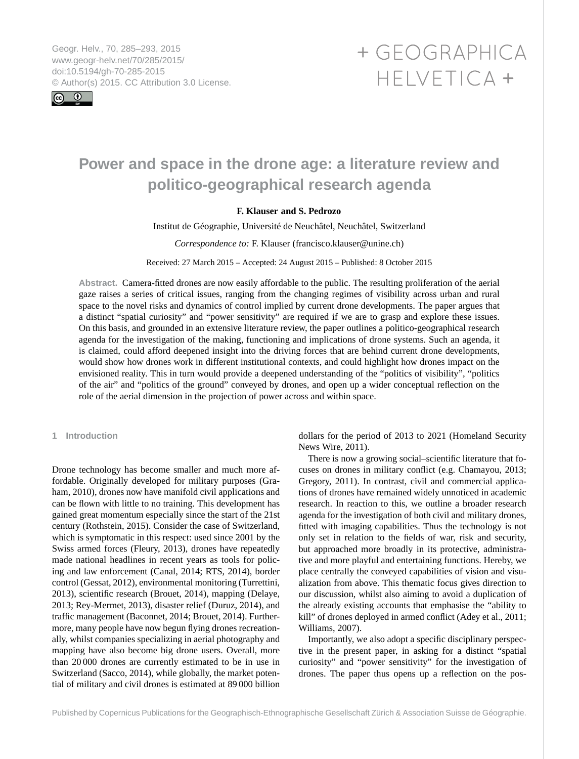<span id="page-0-0"></span>Geogr. Helv., 70, 285–293, 2015 www.geogr-helv.net/70/285/2015/ doi:10.5194/gh-70-285-2015 © Author(s) 2015. CC Attribution 3.0 License.



# + GEOGRAPHICA HELVETICA +

# **Power and space in the drone age: a literature review and politico-geographical research agenda**

# **F. Klauser and S. Pedrozo**

Institut de Géographie, Université de Neuchâtel, Neuchâtel, Switzerland

#### *Correspondence to:* F. Klauser (francisco.klauser@unine.ch)

Received: 27 March 2015 – Accepted: 24 August 2015 – Published: 8 October 2015

**Abstract.** Camera-fitted drones are now easily affordable to the public. The resulting proliferation of the aerial gaze raises a series of critical issues, ranging from the changing regimes of visibility across urban and rural space to the novel risks and dynamics of control implied by current drone developments. The paper argues that a distinct "spatial curiosity" and "power sensitivity" are required if we are to grasp and explore these issues. On this basis, and grounded in an extensive literature review, the paper outlines a politico-geographical research agenda for the investigation of the making, functioning and implications of drone systems. Such an agenda, it is claimed, could afford deepened insight into the driving forces that are behind current drone developments, would show how drones work in different institutional contexts, and could highlight how drones impact on the envisioned reality. This in turn would provide a deepened understanding of the "politics of visibility", "politics of the air" and "politics of the ground" conveyed by drones, and open up a wider conceptual reflection on the role of the aerial dimension in the projection of power across and within space.

### **1 Introduction**

Drone technology has become smaller and much more affordable. Originally developed for military purposes (Graham, 2010), drones now have manifold civil applications and can be flown with little to no training. This development has gained great momentum especially since the start of the 21st century (Rothstein, 2015). Consider the case of Switzerland, which is symptomatic in this respect: used since 2001 by the Swiss armed forces (Fleury, 2013), drones have repeatedly made national headlines in recent years as tools for policing and law enforcement (Canal, 2014; RTS, 2014), border control (Gessat, 2012), environmental monitoring (Turrettini, 2013), scientific research (Brouet, 2014), mapping (Delaye, 2013; Rey-Mermet, 2013), disaster relief (Duruz, 2014), and traffic management (Baconnet, 2014; Brouet, 2014). Furthermore, many people have now begun flying drones recreationally, whilst companies specializing in aerial photography and mapping have also become big drone users. Overall, more than 20 000 drones are currently estimated to be in use in Switzerland (Sacco, 2014), while globally, the market potential of military and civil drones is estimated at 89 000 billion

dollars for the period of 2013 to 2021 (Homeland Security News Wire, 2011).

There is now a growing social–scientific literature that focuses on drones in military conflict (e.g. Chamayou, 2013; Gregory, 2011). In contrast, civil and commercial applications of drones have remained widely unnoticed in academic research. In reaction to this, we outline a broader research agenda for the investigation of both civil and military drones, fitted with imaging capabilities. Thus the technology is not only set in relation to the fields of war, risk and security, but approached more broadly in its protective, administrative and more playful and entertaining functions. Hereby, we place centrally the conveyed capabilities of vision and visualization from above. This thematic focus gives direction to our discussion, whilst also aiming to avoid a duplication of the already existing accounts that emphasise the "ability to kill" of drones deployed in armed conflict (Adey et al., 2011; Williams, 2007).

Importantly, we also adopt a specific disciplinary perspective in the present paper, in asking for a distinct "spatial curiosity" and "power sensitivity" for the investigation of drones. The paper thus opens up a reflection on the pos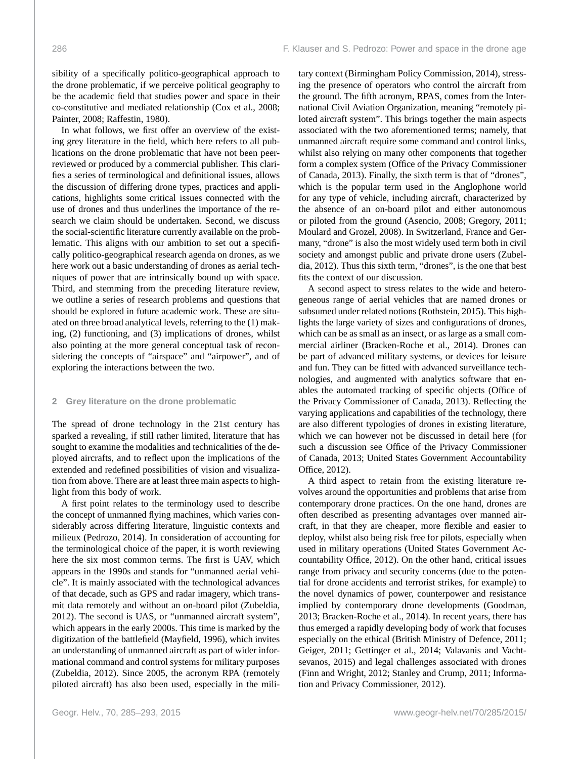sibility of a specifically politico-geographical approach to the drone problematic, if we perceive political geography to be the academic field that studies power and space in their co-constitutive and mediated relationship (Cox et al., 2008; Painter, 2008; Raffestin, 1980).

In what follows, we first offer an overview of the existing grey literature in the field, which here refers to all publications on the drone problematic that have not been peerreviewed or produced by a commercial publisher. This clarifies a series of terminological and definitional issues, allows the discussion of differing drone types, practices and applications, highlights some critical issues connected with the use of drones and thus underlines the importance of the research we claim should be undertaken. Second, we discuss the social-scientific literature currently available on the problematic. This aligns with our ambition to set out a specifically politico-geographical research agenda on drones, as we here work out a basic understanding of drones as aerial techniques of power that are intrinsically bound up with space. Third, and stemming from the preceding literature review, we outline a series of research problems and questions that should be explored in future academic work. These are situated on three broad analytical levels, referring to the (1) making, (2) functioning, and (3) implications of drones, whilst also pointing at the more general conceptual task of reconsidering the concepts of "airspace" and "airpower", and of exploring the interactions between the two.

#### **2 Grey literature on the drone problematic**

The spread of drone technology in the 21st century has sparked a revealing, if still rather limited, literature that has sought to examine the modalities and technicalities of the deployed aircrafts, and to reflect upon the implications of the extended and redefined possibilities of vision and visualization from above. There are at least three main aspects to highlight from this body of work.

A first point relates to the terminology used to describe the concept of unmanned flying machines, which varies considerably across differing literature, linguistic contexts and milieux (Pedrozo, 2014). In consideration of accounting for the terminological choice of the paper, it is worth reviewing here the six most common terms. The first is UAV, which appears in the 1990s and stands for "unmanned aerial vehicle". It is mainly associated with the technological advances of that decade, such as GPS and radar imagery, which transmit data remotely and without an on-board pilot (Zubeldia, 2012). The second is UAS, or "unmanned aircraft system", which appears in the early 2000s. This time is marked by the digitization of the battlefield (Mayfield, 1996), which invites an understanding of unmanned aircraft as part of wider informational command and control systems for military purposes (Zubeldia, 2012). Since 2005, the acronym RPA (remotely piloted aircraft) has also been used, especially in the military context (Birmingham Policy Commission, 2014), stressing the presence of operators who control the aircraft from the ground. The fifth acronym, RPAS, comes from the International Civil Aviation Organization, meaning "remotely piloted aircraft system". This brings together the main aspects associated with the two aforementioned terms; namely, that unmanned aircraft require some command and control links, whilst also relying on many other components that together form a complex system (Office of the Privacy Commissioner of Canada, 2013). Finally, the sixth term is that of "drones", which is the popular term used in the Anglophone world for any type of vehicle, including aircraft, characterized by the absence of an on-board pilot and either autonomous or piloted from the ground (Asencio, 2008; Gregory, 2011; Moulard and Grozel, 2008). In Switzerland, France and Germany, "drone" is also the most widely used term both in civil society and amongst public and private drone users (Zubeldia, 2012). Thus this sixth term, "drones", is the one that best fits the context of our discussion.

A second aspect to stress relates to the wide and heterogeneous range of aerial vehicles that are named drones or subsumed under related notions (Rothstein, 2015). This highlights the large variety of sizes and configurations of drones, which can be as small as an insect, or as large as a small commercial airliner (Bracken-Roche et al., 2014). Drones can be part of advanced military systems, or devices for leisure and fun. They can be fitted with advanced surveillance technologies, and augmented with analytics software that enables the automated tracking of specific objects (Office of the Privacy Commissioner of Canada, 2013). Reflecting the varying applications and capabilities of the technology, there are also different typologies of drones in existing literature, which we can however not be discussed in detail here (for such a discussion see Office of the Privacy Commissioner of Canada, 2013; United States Government Accountability Office, 2012).

A third aspect to retain from the existing literature revolves around the opportunities and problems that arise from contemporary drone practices. On the one hand, drones are often described as presenting advantages over manned aircraft, in that they are cheaper, more flexible and easier to deploy, whilst also being risk free for pilots, especially when used in military operations (United States Government Accountability Office, 2012). On the other hand, critical issues range from privacy and security concerns (due to the potential for drone accidents and terrorist strikes, for example) to the novel dynamics of power, counterpower and resistance implied by contemporary drone developments (Goodman, 2013; Bracken-Roche et al., 2014). In recent years, there has thus emerged a rapidly developing body of work that focuses especially on the ethical (British Ministry of Defence, 2011; Geiger, 2011; Gettinger et al., 2014; Valavanis and Vachtsevanos, 2015) and legal challenges associated with drones (Finn and Wright, 2012; Stanley and Crump, 2011; Information and Privacy Commissioner, 2012).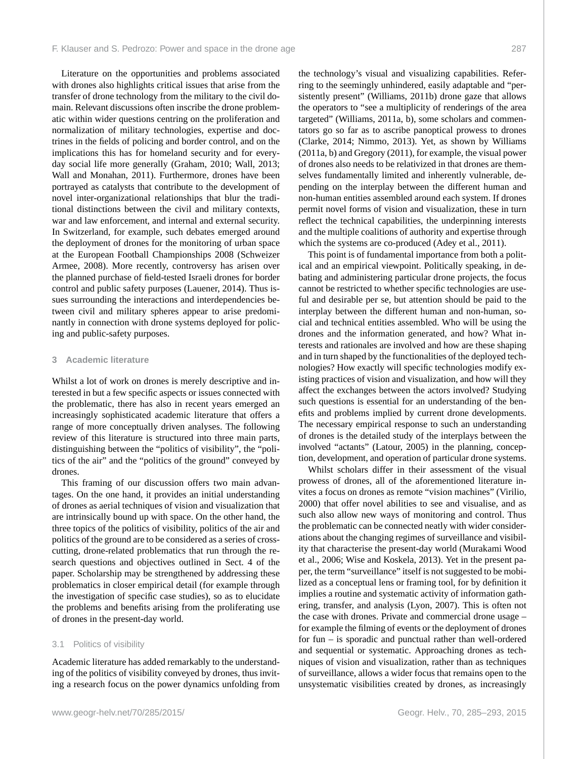Literature on the opportunities and problems associated with drones also highlights critical issues that arise from the transfer of drone technology from the military to the civil domain. Relevant discussions often inscribe the drone problematic within wider questions centring on the proliferation and normalization of military technologies, expertise and doctrines in the fields of policing and border control, and on the implications this has for homeland security and for everyday social life more generally (Graham, 2010; Wall, 2013; Wall and Monahan, 2011). Furthermore, drones have been portrayed as catalysts that contribute to the development of novel inter-organizational relationships that blur the traditional distinctions between the civil and military contexts, war and law enforcement, and internal and external security. In Switzerland, for example, such debates emerged around the deployment of drones for the monitoring of urban space at the European Football Championships 2008 (Schweizer Armee, 2008). More recently, controversy has arisen over the planned purchase of field-tested Israeli drones for border control and public safety purposes (Lauener, 2014). Thus issues surrounding the interactions and interdependencies between civil and military spheres appear to arise predominantly in connection with drone systems deployed for policing and public-safety purposes.

#### **3 Academic literature**

Whilst a lot of work on drones is merely descriptive and interested in but a few specific aspects or issues connected with the problematic, there has also in recent years emerged an increasingly sophisticated academic literature that offers a range of more conceptually driven analyses. The following review of this literature is structured into three main parts, distinguishing between the "politics of visibility", the "politics of the air" and the "politics of the ground" conveyed by drones.

This framing of our discussion offers two main advantages. On the one hand, it provides an initial understanding of drones as aerial techniques of vision and visualization that are intrinsically bound up with space. On the other hand, the three topics of the politics of visibility, politics of the air and politics of the ground are to be considered as a series of crosscutting, drone-related problematics that run through the research questions and objectives outlined in Sect. 4 of the paper. Scholarship may be strengthened by addressing these problematics in closer empirical detail (for example through the investigation of specific case studies), so as to elucidate the problems and benefits arising from the proliferating use of drones in the present-day world.

#### 3.1 Politics of visibility

Academic literature has added remarkably to the understanding of the politics of visibility conveyed by drones, thus inviting a research focus on the power dynamics unfolding from the technology's visual and visualizing capabilities. Referring to the seemingly unhindered, easily adaptable and "persistently present" (Williams, 2011b) drone gaze that allows the operators to "see a multiplicity of renderings of the area targeted" (Williams, 2011a, b), some scholars and commentators go so far as to ascribe panoptical prowess to drones (Clarke, 2014; Nimmo, 2013). Yet, as shown by Williams (2011a, b) and Gregory (2011), for example, the visual power of drones also needs to be relativized in that drones are themselves fundamentally limited and inherently vulnerable, depending on the interplay between the different human and non-human entities assembled around each system. If drones permit novel forms of vision and visualization, these in turn reflect the technical capabilities, the underpinning interests and the multiple coalitions of authority and expertise through which the systems are co-produced (Adey et al., 2011).

This point is of fundamental importance from both a political and an empirical viewpoint. Politically speaking, in debating and administering particular drone projects, the focus cannot be restricted to whether specific technologies are useful and desirable per se, but attention should be paid to the interplay between the different human and non-human, social and technical entities assembled. Who will be using the drones and the information generated, and how? What interests and rationales are involved and how are these shaping and in turn shaped by the functionalities of the deployed technologies? How exactly will specific technologies modify existing practices of vision and visualization, and how will they affect the exchanges between the actors involved? Studying such questions is essential for an understanding of the benefits and problems implied by current drone developments. The necessary empirical response to such an understanding of drones is the detailed study of the interplays between the involved "actants" (Latour, 2005) in the planning, conception, development, and operation of particular drone systems.

Whilst scholars differ in their assessment of the visual prowess of drones, all of the aforementioned literature invites a focus on drones as remote "vision machines" (Virilio, 2000) that offer novel abilities to see and visualise, and as such also allow new ways of monitoring and control. Thus the problematic can be connected neatly with wider considerations about the changing regimes of surveillance and visibility that characterise the present-day world (Murakami Wood et al., 2006; Wise and Koskela, 2013). Yet in the present paper, the term "surveillance" itself is not suggested to be mobilized as a conceptual lens or framing tool, for by definition it implies a routine and systematic activity of information gathering, transfer, and analysis (Lyon, 2007). This is often not the case with drones. Private and commercial drone usage – for example the filming of events or the deployment of drones for fun – is sporadic and punctual rather than well-ordered and sequential or systematic. Approaching drones as techniques of vision and visualization, rather than as techniques of surveillance, allows a wider focus that remains open to the unsystematic visibilities created by drones, as increasingly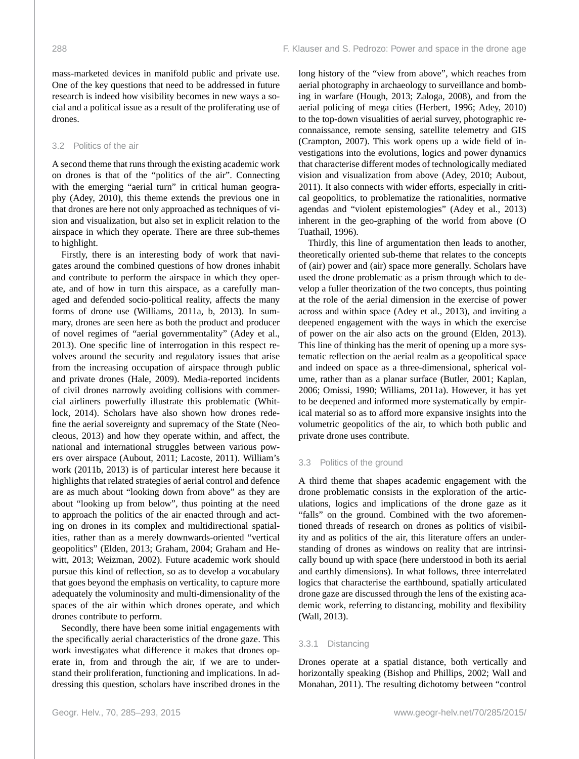mass-marketed devices in manifold public and private use. One of the key questions that need to be addressed in future research is indeed how visibility becomes in new ways a social and a political issue as a result of the proliferating use of drones.

#### 3.2 Politics of the air

A second theme that runs through the existing academic work on drones is that of the "politics of the air". Connecting with the emerging "aerial turn" in critical human geography (Adey, 2010), this theme extends the previous one in that drones are here not only approached as techniques of vision and visualization, but also set in explicit relation to the airspace in which they operate. There are three sub-themes to highlight.

Firstly, there is an interesting body of work that navigates around the combined questions of how drones inhabit and contribute to perform the airspace in which they operate, and of how in turn this airspace, as a carefully managed and defended socio-political reality, affects the many forms of drone use (Williams, 2011a, b, 2013). In summary, drones are seen here as both the product and producer of novel regimes of "aerial governmentality" (Adey et al., 2013). One specific line of interrogation in this respect revolves around the security and regulatory issues that arise from the increasing occupation of airspace through public and private drones (Hale, 2009). Media-reported incidents of civil drones narrowly avoiding collisions with commercial airliners powerfully illustrate this problematic (Whitlock, 2014). Scholars have also shown how drones redefine the aerial sovereignty and supremacy of the State (Neocleous, 2013) and how they operate within, and affect, the national and international struggles between various powers over airspace (Aubout, 2011; Lacoste, 2011). William's work (2011b, 2013) is of particular interest here because it highlights that related strategies of aerial control and defence are as much about "looking down from above" as they are about "looking up from below", thus pointing at the need to approach the politics of the air enacted through and acting on drones in its complex and multidirectional spatialities, rather than as a merely downwards-oriented "vertical geopolitics" (Elden, 2013; Graham, 2004; Graham and Hewitt, 2013; Weizman, 2002). Future academic work should pursue this kind of reflection, so as to develop a vocabulary that goes beyond the emphasis on verticality, to capture more adequately the voluminosity and multi-dimensionality of the spaces of the air within which drones operate, and which drones contribute to perform.

Secondly, there have been some initial engagements with the specifically aerial characteristics of the drone gaze. This work investigates what difference it makes that drones operate in, from and through the air, if we are to understand their proliferation, functioning and implications. In addressing this question, scholars have inscribed drones in the long history of the "view from above", which reaches from aerial photography in archaeology to surveillance and bombing in warfare (Hough, 2013; Zaloga, 2008), and from the aerial policing of mega cities (Herbert, 1996; Adey, 2010) to the top-down visualities of aerial survey, photographic reconnaissance, remote sensing, satellite telemetry and GIS (Crampton, 2007). This work opens up a wide field of investigations into the evolutions, logics and power dynamics that characterise different modes of technologically mediated vision and visualization from above (Adey, 2010; Aubout, 2011). It also connects with wider efforts, especially in critical geopolitics, to problematize the rationalities, normative agendas and "violent epistemologies" (Adey et al., 2013) inherent in the geo-graphing of the world from above (O Tuathail, 1996).

Thirdly, this line of argumentation then leads to another, theoretically oriented sub-theme that relates to the concepts of (air) power and (air) space more generally. Scholars have used the drone problematic as a prism through which to develop a fuller theorization of the two concepts, thus pointing at the role of the aerial dimension in the exercise of power across and within space (Adey et al., 2013), and inviting a deepened engagement with the ways in which the exercise of power on the air also acts on the ground (Elden, 2013). This line of thinking has the merit of opening up a more systematic reflection on the aerial realm as a geopolitical space and indeed on space as a three-dimensional, spherical volume, rather than as a planar surface (Butler, 2001; Kaplan, 2006; Omissi, 1990; Williams, 2011a). However, it has yet to be deepened and informed more systematically by empirical material so as to afford more expansive insights into the volumetric geopolitics of the air, to which both public and private drone uses contribute.

#### 3.3 Politics of the ground

A third theme that shapes academic engagement with the drone problematic consists in the exploration of the articulations, logics and implications of the drone gaze as it "falls" on the ground. Combined with the two aforementioned threads of research on drones as politics of visibility and as politics of the air, this literature offers an understanding of drones as windows on reality that are intrinsically bound up with space (here understood in both its aerial and earthly dimensions). In what follows, three interrelated logics that characterise the earthbound, spatially articulated drone gaze are discussed through the lens of the existing academic work, referring to distancing, mobility and flexibility (Wall, 2013).

#### 3.3.1 Distancing

Drones operate at a spatial distance, both vertically and horizontally speaking (Bishop and Phillips, 2002; Wall and Monahan, 2011). The resulting dichotomy between "control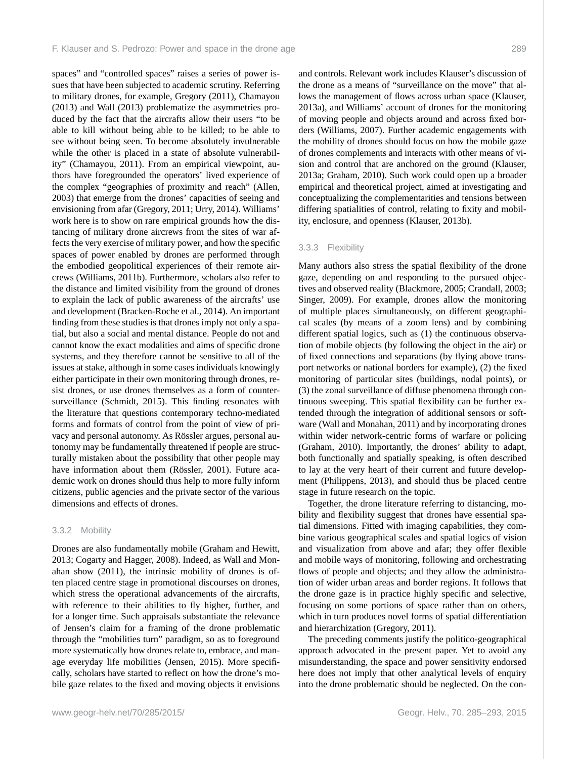spaces" and "controlled spaces" raises a series of power issues that have been subjected to academic scrutiny. Referring to military drones, for example, Gregory (2011), Chamayou (2013) and Wall (2013) problematize the asymmetries produced by the fact that the aircrafts allow their users "to be able to kill without being able to be killed; to be able to see without being seen. To become absolutely invulnerable while the other is placed in a state of absolute vulnerability" (Chamayou, 2011). From an empirical viewpoint, authors have foregrounded the operators' lived experience of the complex "geographies of proximity and reach" (Allen, 2003) that emerge from the drones' capacities of seeing and envisioning from afar (Gregory, 2011; Urry, 2014). Williams' work here is to show on rare empirical grounds how the distancing of military drone aircrews from the sites of war affects the very exercise of military power, and how the specific spaces of power enabled by drones are performed through the embodied geopolitical experiences of their remote aircrews (Williams, 2011b). Furthermore, scholars also refer to the distance and limited visibility from the ground of drones to explain the lack of public awareness of the aircrafts' use and development (Bracken-Roche et al., 2014). An important finding from these studies is that drones imply not only a spatial, but also a social and mental distance. People do not and cannot know the exact modalities and aims of specific drone systems, and they therefore cannot be sensitive to all of the issues at stake, although in some cases individuals knowingly either participate in their own monitoring through drones, resist drones, or use drones themselves as a form of countersurveillance (Schmidt, 2015). This finding resonates with the literature that questions contemporary techno-mediated forms and formats of control from the point of view of privacy and personal autonomy. As Rössler argues, personal autonomy may be fundamentally threatened if people are structurally mistaken about the possibility that other people may have information about them (Rössler, 2001). Future academic work on drones should thus help to more fully inform citizens, public agencies and the private sector of the various dimensions and effects of drones.

#### 3.3.2 Mobility

Drones are also fundamentally mobile (Graham and Hewitt, 2013; Cogarty and Hagger, 2008). Indeed, as Wall and Monahan show (2011), the intrinsic mobility of drones is often placed centre stage in promotional discourses on drones, which stress the operational advancements of the aircrafts, with reference to their abilities to fly higher, further, and for a longer time. Such appraisals substantiate the relevance of Jensen's claim for a framing of the drone problematic through the "mobilities turn" paradigm, so as to foreground more systematically how drones relate to, embrace, and manage everyday life mobilities (Jensen, 2015). More specifically, scholars have started to reflect on how the drone's mobile gaze relates to the fixed and moving objects it envisions and controls. Relevant work includes Klauser's discussion of the drone as a means of "surveillance on the move" that allows the management of flows across urban space (Klauser, 2013a), and Williams' account of drones for the monitoring of moving people and objects around and across fixed borders (Williams, 2007). Further academic engagements with the mobility of drones should focus on how the mobile gaze of drones complements and interacts with other means of vision and control that are anchored on the ground (Klauser, 2013a; Graham, 2010). Such work could open up a broader empirical and theoretical project, aimed at investigating and conceptualizing the complementarities and tensions between differing spatialities of control, relating to fixity and mobility, enclosure, and openness (Klauser, 2013b).

#### 3.3.3 Flexibility

Many authors also stress the spatial flexibility of the drone gaze, depending on and responding to the pursued objectives and observed reality (Blackmore, 2005; Crandall, 2003; Singer, 2009). For example, drones allow the monitoring of multiple places simultaneously, on different geographical scales (by means of a zoom lens) and by combining different spatial logics, such as (1) the continuous observation of mobile objects (by following the object in the air) or of fixed connections and separations (by flying above transport networks or national borders for example), (2) the fixed monitoring of particular sites (buildings, nodal points), or (3) the zonal surveillance of diffuse phenomena through continuous sweeping. This spatial flexibility can be further extended through the integration of additional sensors or software (Wall and Monahan, 2011) and by incorporating drones within wider network-centric forms of warfare or policing (Graham, 2010). Importantly, the drones' ability to adapt, both functionally and spatially speaking, is often described to lay at the very heart of their current and future development (Philippens, 2013), and should thus be placed centre stage in future research on the topic.

Together, the drone literature referring to distancing, mobility and flexibility suggest that drones have essential spatial dimensions. Fitted with imaging capabilities, they combine various geographical scales and spatial logics of vision and visualization from above and afar; they offer flexible and mobile ways of monitoring, following and orchestrating flows of people and objects; and they allow the administration of wider urban areas and border regions. It follows that the drone gaze is in practice highly specific and selective, focusing on some portions of space rather than on others, which in turn produces novel forms of spatial differentiation and hierarchization (Gregory, 2011).

The preceding comments justify the politico-geographical approach advocated in the present paper. Yet to avoid any misunderstanding, the space and power sensitivity endorsed here does not imply that other analytical levels of enquiry into the drone problematic should be neglected. On the con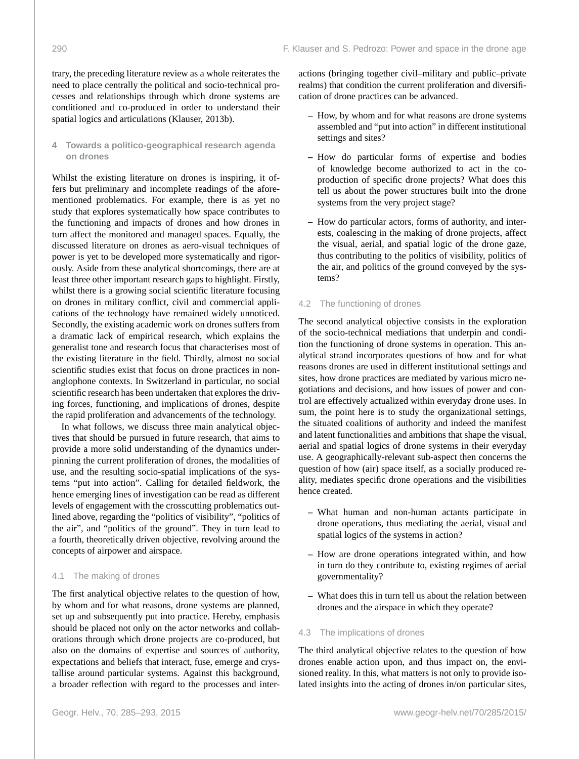trary, the preceding literature review as a whole reiterates the need to place centrally the political and socio-technical processes and relationships through which drone systems are conditioned and co-produced in order to understand their spatial logics and articulations (Klauser, 2013b).

# **4 Towards a politico-geographical research agenda on drones**

Whilst the existing literature on drones is inspiring, it offers but preliminary and incomplete readings of the aforementioned problematics. For example, there is as yet no study that explores systematically how space contributes to the functioning and impacts of drones and how drones in turn affect the monitored and managed spaces. Equally, the discussed literature on drones as aero-visual techniques of power is yet to be developed more systematically and rigorously. Aside from these analytical shortcomings, there are at least three other important research gaps to highlight. Firstly, whilst there is a growing social scientific literature focusing on drones in military conflict, civil and commercial applications of the technology have remained widely unnoticed. Secondly, the existing academic work on drones suffers from a dramatic lack of empirical research, which explains the generalist tone and research focus that characterises most of the existing literature in the field. Thirdly, almost no social scientific studies exist that focus on drone practices in nonanglophone contexts. In Switzerland in particular, no social scientific research has been undertaken that explores the driving forces, functioning, and implications of drones, despite the rapid proliferation and advancements of the technology.

In what follows, we discuss three main analytical objectives that should be pursued in future research, that aims to provide a more solid understanding of the dynamics underpinning the current proliferation of drones, the modalities of use, and the resulting socio-spatial implications of the systems "put into action". Calling for detailed fieldwork, the hence emerging lines of investigation can be read as different levels of engagement with the crosscutting problematics outlined above, regarding the "politics of visibility", "politics of the air", and "politics of the ground". They in turn lead to a fourth, theoretically driven objective, revolving around the concepts of airpower and airspace.

# 4.1 The making of drones

The first analytical objective relates to the question of how, by whom and for what reasons, drone systems are planned, set up and subsequently put into practice. Hereby, emphasis should be placed not only on the actor networks and collaborations through which drone projects are co-produced, but also on the domains of expertise and sources of authority, expectations and beliefs that interact, fuse, emerge and crystallise around particular systems. Against this background, a broader reflection with regard to the processes and interactions (bringing together civil–military and public–private realms) that condition the current proliferation and diversification of drone practices can be advanced.

- **–** How, by whom and for what reasons are drone systems assembled and "put into action" in different institutional settings and sites?
- **–** How do particular forms of expertise and bodies of knowledge become authorized to act in the coproduction of specific drone projects? What does this tell us about the power structures built into the drone systems from the very project stage?
- **–** How do particular actors, forms of authority, and interests, coalescing in the making of drone projects, affect the visual, aerial, and spatial logic of the drone gaze, thus contributing to the politics of visibility, politics of the air, and politics of the ground conveyed by the systems?

## 4.2 The functioning of drones

The second analytical objective consists in the exploration of the socio-technical mediations that underpin and condition the functioning of drone systems in operation. This analytical strand incorporates questions of how and for what reasons drones are used in different institutional settings and sites, how drone practices are mediated by various micro negotiations and decisions, and how issues of power and control are effectively actualized within everyday drone uses. In sum, the point here is to study the organizational settings, the situated coalitions of authority and indeed the manifest and latent functionalities and ambitions that shape the visual, aerial and spatial logics of drone systems in their everyday use. A geographically-relevant sub-aspect then concerns the question of how (air) space itself, as a socially produced reality, mediates specific drone operations and the visibilities hence created.

- **–** What human and non-human actants participate in drone operations, thus mediating the aerial, visual and spatial logics of the systems in action?
- **–** How are drone operations integrated within, and how in turn do they contribute to, existing regimes of aerial governmentality?
- **–** What does this in turn tell us about the relation between drones and the airspace in which they operate?

#### 4.3 The implications of drones

The third analytical objective relates to the question of how drones enable action upon, and thus impact on, the envisioned reality. In this, what matters is not only to provide isolated insights into the acting of drones in/on particular sites,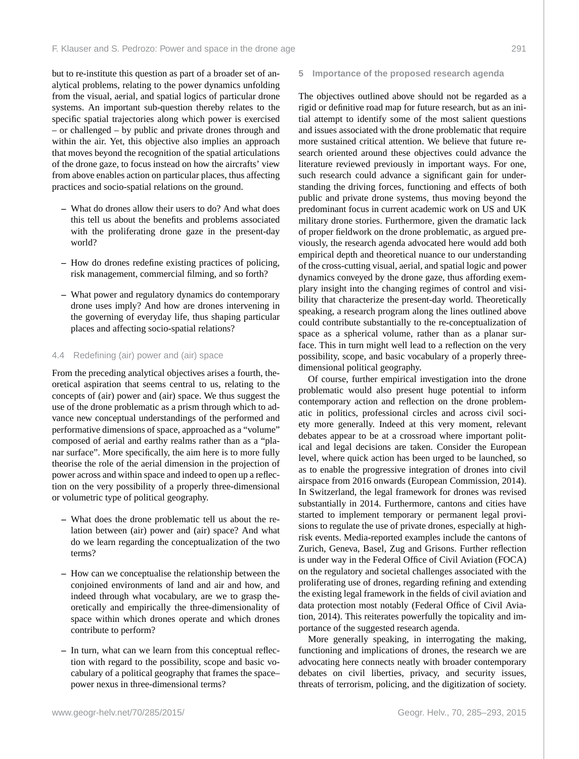but to re-institute this question as part of a broader set of analytical problems, relating to the power dynamics unfolding from the visual, aerial, and spatial logics of particular drone systems. An important sub-question thereby relates to the specific spatial trajectories along which power is exercised – or challenged – by public and private drones through and within the air. Yet, this objective also implies an approach that moves beyond the recognition of the spatial articulations of the drone gaze, to focus instead on how the aircrafts' view from above enables action on particular places, thus affecting practices and socio-spatial relations on the ground.

- **–** What do drones allow their users to do? And what does this tell us about the benefits and problems associated with the proliferating drone gaze in the present-day world?
- **–** How do drones redefine existing practices of policing, risk management, commercial filming, and so forth?
- **–** What power and regulatory dynamics do contemporary drone uses imply? And how are drones intervening in the governing of everyday life, thus shaping particular places and affecting socio-spatial relations?

#### 4.4 Redefining (air) power and (air) space

From the preceding analytical objectives arises a fourth, theoretical aspiration that seems central to us, relating to the concepts of (air) power and (air) space. We thus suggest the use of the drone problematic as a prism through which to advance new conceptual understandings of the performed and performative dimensions of space, approached as a "volume" composed of aerial and earthy realms rather than as a "planar surface". More specifically, the aim here is to more fully theorise the role of the aerial dimension in the projection of power across and within space and indeed to open up a reflection on the very possibility of a properly three-dimensional or volumetric type of political geography.

- **–** What does the drone problematic tell us about the relation between (air) power and (air) space? And what do we learn regarding the conceptualization of the two terms?
- **–** How can we conceptualise the relationship between the conjoined environments of land and air and how, and indeed through what vocabulary, are we to grasp theoretically and empirically the three-dimensionality of space within which drones operate and which drones contribute to perform?
- **–** In turn, what can we learn from this conceptual reflection with regard to the possibility, scope and basic vocabulary of a political geography that frames the space– power nexus in three-dimensional terms?

#### **5 Importance of the proposed research agenda**

The objectives outlined above should not be regarded as a rigid or definitive road map for future research, but as an initial attempt to identify some of the most salient questions and issues associated with the drone problematic that require more sustained critical attention. We believe that future research oriented around these objectives could advance the literature reviewed previously in important ways. For one, such research could advance a significant gain for understanding the driving forces, functioning and effects of both public and private drone systems, thus moving beyond the predominant focus in current academic work on US and UK military drone stories. Furthermore, given the dramatic lack of proper fieldwork on the drone problematic, as argued previously, the research agenda advocated here would add both empirical depth and theoretical nuance to our understanding of the cross-cutting visual, aerial, and spatial logic and power dynamics conveyed by the drone gaze, thus affording exemplary insight into the changing regimes of control and visibility that characterize the present-day world. Theoretically speaking, a research program along the lines outlined above could contribute substantially to the re-conceptualization of space as a spherical volume, rather than as a planar surface. This in turn might well lead to a reflection on the very possibility, scope, and basic vocabulary of a properly threedimensional political geography.

Of course, further empirical investigation into the drone problematic would also present huge potential to inform contemporary action and reflection on the drone problematic in politics, professional circles and across civil society more generally. Indeed at this very moment, relevant debates appear to be at a crossroad where important political and legal decisions are taken. Consider the European level, where quick action has been urged to be launched, so as to enable the progressive integration of drones into civil airspace from 2016 onwards (European Commission, 2014). In Switzerland, the legal framework for drones was revised substantially in 2014. Furthermore, cantons and cities have started to implement temporary or permanent legal provisions to regulate the use of private drones, especially at highrisk events. Media-reported examples include the cantons of Zurich, Geneva, Basel, Zug and Grisons. Further reflection is under way in the Federal Office of Civil Aviation (FOCA) on the regulatory and societal challenges associated with the proliferating use of drones, regarding refining and extending the existing legal framework in the fields of civil aviation and data protection most notably (Federal Office of Civil Aviation, 2014). This reiterates powerfully the topicality and importance of the suggested research agenda.

More generally speaking, in interrogating the making, functioning and implications of drones, the research we are advocating here connects neatly with broader contemporary debates on civil liberties, privacy, and security issues, threats of terrorism, policing, and the digitization of society.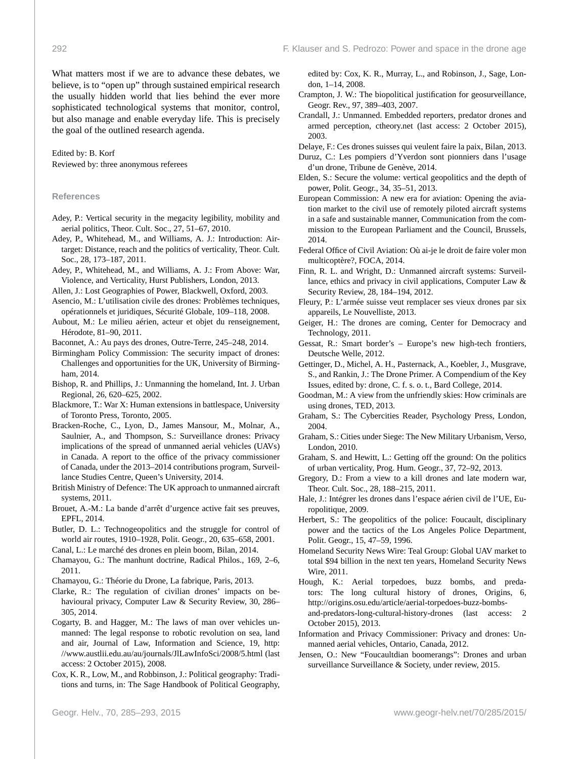What matters most if we are to advance these debates, we believe, is to "open up" through sustained empirical research the usually hidden world that lies behind the ever more sophisticated technological systems that monitor, control, but also manage and enable everyday life. This is precisely the goal of the outlined research agenda.

Edited by: B. Korf Reviewed by: three anonymous referees

#### **References**

- Adey, P.: Vertical security in the megacity legibility, mobility and aerial politics, Theor. Cult. Soc., 27, 51–67, 2010.
- Adey, P., Whitehead, M., and Williams, A. J.: Introduction: Airtarget: Distance, reach and the politics of verticality, Theor. Cult. Soc., 28, 173–187, 2011.
- Adey, P., Whitehead, M., and Williams, A. J.: From Above: War, Violence, and Verticality, Hurst Publishers, London, 2013.
- Allen, J.: Lost Geographies of Power, Blackwell, Oxford, 2003.
- Asencio, M.: L'utilisation civile des drones: Problèmes techniques, opérationnels et juridiques, Sécurité Globale, 109–118, 2008.
- Aubout, M.: Le milieu aérien, acteur et objet du renseignement, Hérodote, 81–90, 2011.
- Baconnet, A.: Au pays des drones, Outre-Terre, 245–248, 2014.
- Birmingham Policy Commission: The security impact of drones: Challenges and opportunities for the UK, University of Birmingham, 2014.
- Bishop, R. and Phillips, J.: Unmanning the homeland, Int. J. Urban Regional, 26, 620–625, 2002.
- Blackmore, T.: War X: Human extensions in battlespace, University of Toronto Press, Toronto, 2005.
- Bracken-Roche, C., Lyon, D., James Mansour, M., Molnar, A., Saulnier, A., and Thompson, S.: Surveillance drones: Privacy implications of the spread of unmanned aerial vehicles (UAVs) in Canada. A report to the office of the privacy commissioner of Canada, under the 2013–2014 contributions program, Surveillance Studies Centre, Queen's University, 2014.
- British Ministry of Defence: The UK approach to unmanned aircraft systems, 2011.
- Brouet, A.-M.: La bande d'arrêt d'urgence active fait ses preuves, EPFL, 2014.
- Butler, D. L.: Technogeopolitics and the struggle for control of world air routes, 1910–1928, Polit. Geogr., 20, 635–658, 2001.
- Canal, L.: Le marché des drones en plein boom, Bilan, 2014.
- Chamayou, G.: The manhunt doctrine, Radical Philos., 169, 2–6, 2011.
- Chamayou, G.: Théorie du Drone, La fabrique, Paris, 2013.
- Clarke, R.: The regulation of civilian drones' impacts on behavioural privacy, Computer Law & Security Review, 30, 286– 305, 2014.
- Cogarty, B. and Hagger, M.: The laws of man over vehicles unmanned: The legal response to robotic revolution on sea, land and air, Journal of Law, Information and Science, 19, [http:](http://www.austlii.edu.au/au/journals/JlLawInfoSci/2008/5.html) [//www.austlii.edu.au/au/journals/JlLawInfoSci/2008/5.html](http://www.austlii.edu.au/au/journals/JlLawInfoSci/2008/5.html) (last access: 2 October 2015), 2008.
- Cox, K. R., Low, M., and Robbinson, J.: Political geography: Traditions and turns, in: The Sage Handbook of Political Geography,

edited by: Cox, K. R., Murray, L., and Robinson, J., Sage, London, 1–14, 2008.

- Crampton, J. W.: The biopolitical justification for geosurveillance, Geogr. Rev., 97, 389–403, 2007.
- Crandall, J.: Unmanned. Embedded reporters, predator drones and armed perception, <ctheory.net> (last access: 2 October 2015), 2003.
- Delaye, F.: Ces drones suisses qui veulent faire la paix, Bilan, 2013.
- Duruz, C.: Les pompiers d'Yverdon sont pionniers dans l'usage d'un drone, Tribune de Genève, 2014.
- Elden, S.: Secure the volume: vertical geopolitics and the depth of power, Polit. Geogr., 34, 35–51, 2013.
- European Commission: A new era for aviation: Opening the aviation market to the civil use of remotely piloted aircraft systems in a safe and sustainable manner, Communication from the commission to the European Parliament and the Council, Brussels, 2014.
- Federal Office of Civil Aviation: Où ai-je le droit de faire voler mon multicoptère?, FOCA, 2014.
- Finn, R. L. and Wright, D.: Unmanned aircraft systems: Surveillance, ethics and privacy in civil applications, Computer Law & Security Review, 28, 184–194, 2012.
- Fleury, P.: L'armée suisse veut remplacer ses vieux drones par six appareils, Le Nouvelliste, 2013.
- Geiger, H.: The drones are coming, Center for Democracy and Technology, 2011.
- Gessat, R.: Smart border's Europe's new high-tech frontiers, Deutsche Welle, 2012.
- Gettinger, D., Michel, A. H., Pasternack, A., Koebler, J., Musgrave, S., and Rankin, J.: The Drone Primer. A Compendium of the Key Issues, edited by: drone, C. f. s. o. t., Bard College, 2014.
- Goodman, M.: A view from the unfriendly skies: How criminals are using drones, TED, 2013.
- Graham, S.: The Cybercities Reader, Psychology Press, London, 2004.
- Graham, S.: Cities under Siege: The New Military Urbanism, Verso, London, 2010.
- Graham, S. and Hewitt, L.: Getting off the ground: On the politics of urban verticality, Prog. Hum. Geogr., 37, 72–92, 2013.
- Gregory, D.: From a view to a kill drones and late modern war, Theor. Cult. Soc., 28, 188–215, 2011.
- Hale, J.: Intégrer les drones dans l'espace aérien civil de l'UE, Europolitique, 2009.
- Herbert, S.: The geopolitics of the police: Foucault, disciplinary power and the tactics of the Los Angeles Police Department, Polit. Geogr., 15, 47–59, 1996.
- Homeland Security News Wire: Teal Group: Global UAV market to total \$94 billion in the next ten years, Homeland Security News Wire, 2011.
- Hough, K.: Aerial torpedoes, buzz bombs, and predators: The long cultural history of drones, Origins, 6, [http://origins.osu.edu/article/aerial-torpedoes-buzz-bombs-](http://origins.osu.edu/article/aerial-torpedoes-buzz-bombs-and-predators-long-cultural-history-drones)

[and-predators-long-cultural-history-drones](http://origins.osu.edu/article/aerial-torpedoes-buzz-bombs-and-predators-long-cultural-history-drones) (last access: 2 October 2015), 2013.

- Information and Privacy Commissioner: Privacy and drones: Unmanned aerial vehicles, Ontario, Canada, 2012.
- Jensen, O.: New "Foucaultdian boomerangs": Drones and urban surveillance Surveillance & Society, under review, 2015.